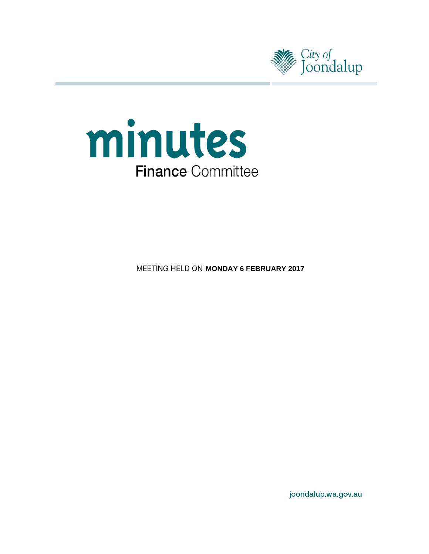



**MEETING HELD ON MONDAY 6 FEBRUARY 2017** 

joondalup.wa.gov.au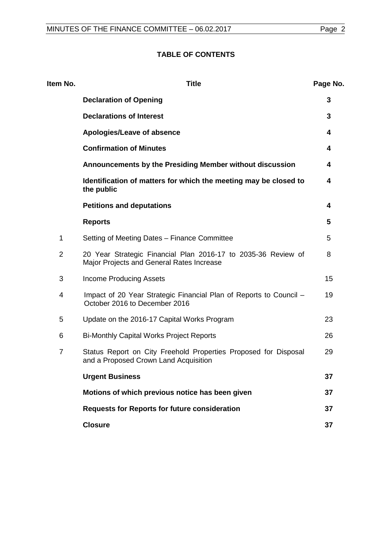# **TABLE OF CONTENTS**

| Item No.       | <b>Title</b>                                                                                               | Page No. |
|----------------|------------------------------------------------------------------------------------------------------------|----------|
|                | <b>Declaration of Opening</b>                                                                              | 3        |
|                | <b>Declarations of Interest</b>                                                                            | 3        |
|                | Apologies/Leave of absence                                                                                 | 4        |
|                | <b>Confirmation of Minutes</b>                                                                             | 4        |
|                | Announcements by the Presiding Member without discussion                                                   | 4        |
|                | Identification of matters for which the meeting may be closed to<br>the public                             | 4        |
|                | <b>Petitions and deputations</b>                                                                           | 4        |
|                | <b>Reports</b>                                                                                             | 5        |
| 1              | Setting of Meeting Dates - Finance Committee                                                               | 5        |
| $\overline{2}$ | 20 Year Strategic Financial Plan 2016-17 to 2035-36 Review of<br>Major Projects and General Rates Increase | 8        |
| 3              | <b>Income Producing Assets</b>                                                                             | 15       |
| 4              | Impact of 20 Year Strategic Financial Plan of Reports to Council -<br>October 2016 to December 2016        | 19       |
| 5              | Update on the 2016-17 Capital Works Program                                                                | 23       |
| 6              | <b>Bi-Monthly Capital Works Project Reports</b>                                                            | 26       |
| $\overline{7}$ | Status Report on City Freehold Properties Proposed for Disposal<br>and a Proposed Crown Land Acquisition   | 29       |
|                | <b>Urgent Business</b>                                                                                     | 37       |
|                | Motions of which previous notice has been given                                                            | 37       |
|                | <b>Requests for Reports for future consideration</b>                                                       | 37       |
|                | <b>Closure</b>                                                                                             | 37       |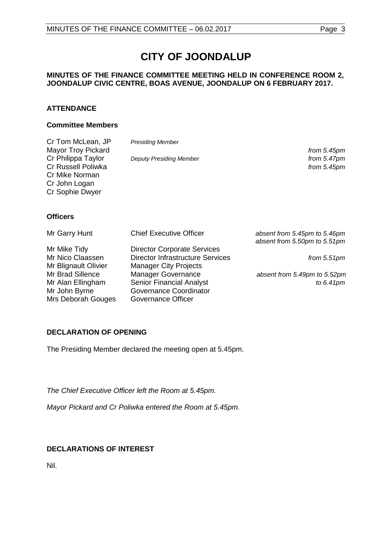# **CITY OF JOONDALUP**

# **MINUTES OF THE FINANCE COMMITTEE MEETING HELD IN CONFERENCE ROOM 2, JOONDALUP CIVIC CENTRE, BOAS AVENUE, JOONDALUP ON 6 FEBRUARY 2017.**

# **ATTENDANCE**

#### **Committee Members**

| Cr Tom McLean, JP<br><b>Mayor Troy Pickard</b><br>Cr Philippa Taylor<br>Cr Russell Poliwka<br>Cr Mike Norman<br>Cr John Logan<br>Cr Sophie Dwyer | <b>Presiding Member</b><br><b>Deputy Presiding Member</b>                       | from 5.45pm<br>from $5.47$ pm<br>from 5.45pm                 |  |
|--------------------------------------------------------------------------------------------------------------------------------------------------|---------------------------------------------------------------------------------|--------------------------------------------------------------|--|
| <b>Officers</b>                                                                                                                                  |                                                                                 |                                                              |  |
| Mr Garry Hunt                                                                                                                                    | <b>Chief Executive Officer</b>                                                  | absent from 5.45pm to 5.46pm<br>absent from 5.50pm to 5.51pm |  |
| Mr Mike Tidy                                                                                                                                     | <b>Director Corporate Services</b>                                              |                                                              |  |
| Mr Nico Claassen<br>Mr Blignault Olivier                                                                                                         | Director Infrastructure Services<br><b>Manager City Projects</b>                | from $5.51$ pm                                               |  |
| Mr Brad Sillence                                                                                                                                 | <b>Manager Governance</b>                                                       | absent from 5.49pm to 5.52pm                                 |  |
| Mr Alan Ellingham<br>Mr John Byrne<br>Mrs Deborah Gouges                                                                                         | <b>Senior Financial Analyst</b><br>Governance Coordinator<br>Governance Officer | to $6.41pm$                                                  |  |

# <span id="page-2-0"></span>**DECLARATION OF OPENING**

The Presiding Member declared the meeting open at 5.45pm.

*The Chief Executive Officer left the Room at 5.45pm.*

*Mayor Pickard and Cr Poliwka entered the Room at 5.45pm.*

# <span id="page-2-1"></span>**DECLARATIONS OF INTEREST**

<span id="page-2-2"></span>Nil.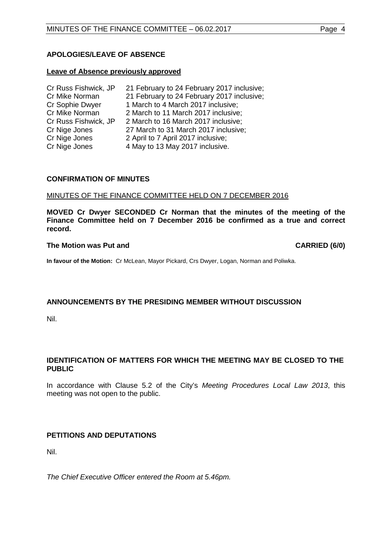# **APOLOGIES/LEAVE OF ABSENCE**

#### **Leave of Absence previously approved**

<span id="page-3-0"></span>

| 21 February to 24 February 2017 inclusive; |
|--------------------------------------------|
| 21 February to 24 February 2017 inclusive; |
| 1 March to 4 March 2017 inclusive;         |
| 2 March to 11 March 2017 inclusive;        |
| 2 March to 16 March 2017 inclusive;        |
| 27 March to 31 March 2017 inclusive;       |
| 2 April to 7 April 2017 inclusive;         |
| 4 May to 13 May 2017 inclusive.            |
|                                            |

#### **CONFIRMATION OF MINUTES**

#### MINUTES OF THE FINANCE COMMITTEE HELD ON 7 DECEMBER 2016

**MOVED Cr Dwyer SECONDED Cr Norman that the minutes of the meeting of the Finance Committee held on 7 December 2016 be confirmed as a true and correct record.**

#### **The Motion was Put and CARRIED (6/0)**

**In favour of the Motion:** Cr McLean, Mayor Pickard, Crs Dwyer, Logan, Norman and Poliwka.

# <span id="page-3-1"></span>**ANNOUNCEMENTS BY THE PRESIDING MEMBER WITHOUT DISCUSSION**

Nil.

# <span id="page-3-2"></span>**IDENTIFICATION OF MATTERS FOR WHICH THE MEETING MAY BE CLOSED TO THE PUBLIC**

In accordance with Clause 5.2 of the City's *Meeting Procedures Local Law 2013*, this meeting was not open to the public.

# <span id="page-3-3"></span>**PETITIONS AND DEPUTATIONS**

Nil.

*The Chief Executive Officer entered the Room at 5.46pm.*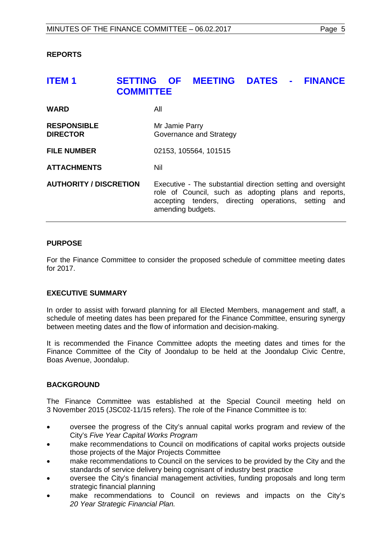# <span id="page-4-0"></span>**ITEM 1 SETTING OF MEETING DATES - FINANCE COMMITTEE**

| <b>WARD</b>                           | All                                                                                                                                                                                              |
|---------------------------------------|--------------------------------------------------------------------------------------------------------------------------------------------------------------------------------------------------|
| <b>RESPONSIBLE</b><br><b>DIRECTOR</b> | Mr Jamie Parry<br>Governance and Strategy                                                                                                                                                        |
| <b>FILE NUMBER</b>                    | 02153, 105564, 101515                                                                                                                                                                            |
| <b>ATTACHMENTS</b>                    | Nil                                                                                                                                                                                              |
| <b>AUTHORITY / DISCRETION</b>         | Executive - The substantial direction setting and oversight<br>role of Council, such as adopting plans and reports,<br>accepting tenders, directing operations, setting and<br>amending budgets. |

# **PURPOSE**

For the Finance Committee to consider the proposed schedule of committee meeting dates for 2017.

# **EXECUTIVE SUMMARY**

In order to assist with forward planning for all Elected Members, management and staff, a schedule of meeting dates has been prepared for the Finance Committee, ensuring synergy between meeting dates and the flow of information and decision-making.

It is recommended the Finance Committee adopts the meeting dates and times for the Finance Committee of the City of Joondalup to be held at the Joondalup Civic Centre, Boas Avenue, Joondalup.

# **BACKGROUND**

The Finance Committee was established at the Special Council meeting held on 3 November 2015 (JSC02-11/15 refers). The role of the Finance Committee is to:

- oversee the progress of the City's annual capital works program and review of the City's *Five Year Capital Works Program*
- make recommendations to Council on modifications of capital works projects outside those projects of the Major Projects Committee
- make recommendations to Council on the services to be provided by the City and the standards of service delivery being cognisant of industry best practice
- oversee the City's financial management activities, funding proposals and long term strategic financial planning
- make recommendations to Council on reviews and impacts on the City's *20 Year Strategic Financial Plan.*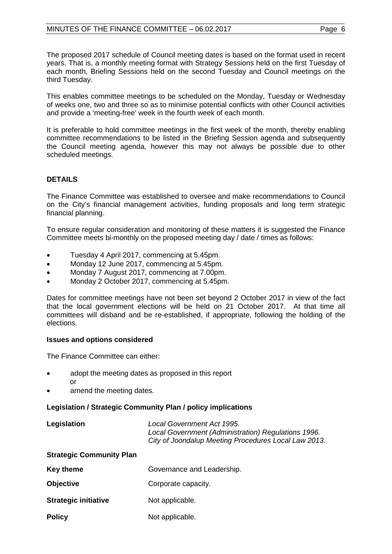The proposed 2017 schedule of Council meeting dates is based on the format used in recent years. That is, a monthly meeting format with Strategy Sessions held on the first Tuesday of each month, Briefing Sessions held on the second Tuesday and Council meetings on the third Tuesday.

This enables committee meetings to be scheduled on the Monday, Tuesday or Wednesday of weeks one, two and three so as to minimise potential conflicts with other Council activities and provide a 'meeting-free' week in the fourth week of each month.

It is preferable to hold committee meetings in the first week of the month, thereby enabling committee recommendations to be listed in the Briefing Session agenda and subsequently the Council meeting agenda, however this may not always be possible due to other scheduled meetings.

# **DETAILS**

The Finance Committee was established to oversee and make recommendations to Council on the City's financial management activities, funding proposals and long term strategic financial planning.

To ensure regular consideration and monitoring of these matters it is suggested the Finance Committee meets bi-monthly on the proposed meeting day / date / times as follows:

- Tuesday 4 April 2017, commencing at 5.45pm.
- Monday 12 June 2017, commencing at 5.45pm.
- Monday 7 August 2017, commencing at 7.00pm.
- Monday 2 October 2017, commencing at 5.45pm.

Dates for committee meetings have not been set beyond 2 October 2017 in view of the fact that the local government elections will be held on 21 October 2017. At that time all committees will disband and be re-established, if appropriate, following the holding of the elections.

# **Issues and options considered**

The Finance Committee can either:

- adopt the meeting dates as proposed in this report
	-

or

amend the meeting dates.

# **Legislation / Strategic Community Plan / policy implications**

| Legislation | Local Government Act 1995.                           |
|-------------|------------------------------------------------------|
|             | Local Government (Administration) Regulations 1996.  |
|             | City of Joondalup Meeting Procedures Local Law 2013. |

# **Strategic Community Plan**

| <b>Key theme</b> | Governance and Leadership. |
|------------------|----------------------------|
|------------------|----------------------------|

- **Objective** Corporate capacity.
- **Strategic initiative** Not applicable.
- **Policy** Not applicable.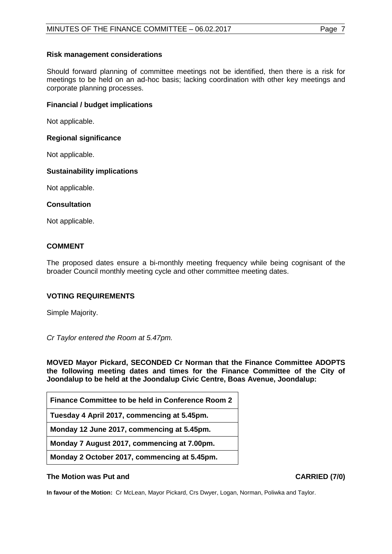# **Risk management considerations**

Should forward planning of committee meetings not be identified, then there is a risk for meetings to be held on an ad-hoc basis; lacking coordination with other key meetings and corporate planning processes.

#### **Financial / budget implications**

Not applicable.

#### **Regional significance**

Not applicable.

#### **Sustainability implications**

Not applicable.

#### **Consultation**

Not applicable.

# **COMMENT**

The proposed dates ensure a bi-monthly meeting frequency while being cognisant of the broader Council monthly meeting cycle and other committee meeting dates.

# **VOTING REQUIREMENTS**

Simple Majority.

*Cr Taylor entered the Room at 5.47pm.* 

**MOVED Mayor Pickard, SECONDED Cr Norman that the Finance Committee ADOPTS the following meeting dates and times for the Finance Committee of the City of Joondalup to be held at the Joondalup Civic Centre, Boas Avenue, Joondalup:**

**Tuesday 4 April 2017, commencing at 5.45pm.**

**Monday 12 June 2017, commencing at 5.45pm.**

**Monday 7 August 2017, commencing at 7.00pm.**

**Monday 2 October 2017, commencing at 5.45pm.**

#### **The Motion was Put and CARRIED (7/0)**

**In favour of the Motion:** Cr McLean, Mayor Pickard, Crs Dwyer, Logan, Norman, Poliwka and Taylor.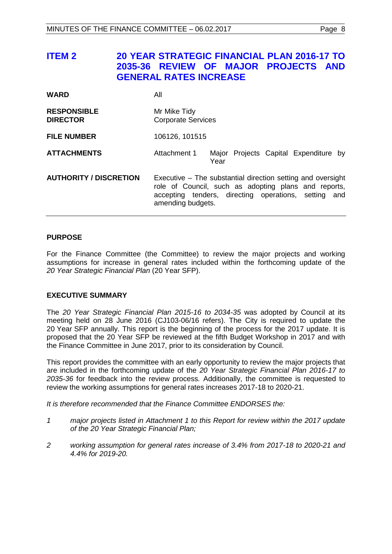# <span id="page-7-0"></span>**ITEM 2 20 YEAR STRATEGIC FINANCIAL PLAN 2016-17 TO 2035-36 REVIEW OF MAJOR PROJECTS AND GENERAL RATES INCREASE**

| <b>WARD</b>                           | All                                                                                                                                                                                              |  |  |
|---------------------------------------|--------------------------------------------------------------------------------------------------------------------------------------------------------------------------------------------------|--|--|
| <b>RESPONSIBLE</b><br><b>DIRECTOR</b> | Mr Mike Tidy<br><b>Corporate Services</b>                                                                                                                                                        |  |  |
| <b>FILE NUMBER</b>                    | 106126, 101515                                                                                                                                                                                   |  |  |
| <b>ATTACHMENTS</b>                    | Attachment 1<br>Major Projects Capital Expenditure by<br>Year                                                                                                                                    |  |  |
| <b>AUTHORITY / DISCRETION</b>         | Executive – The substantial direction setting and oversight<br>role of Council, such as adopting plans and reports,<br>accepting tenders, directing operations, setting and<br>amending budgets. |  |  |

# **PURPOSE**

For the Finance Committee (the Committee) to review the major projects and working assumptions for increase in general rates included within the forthcoming update of the *20 Year Strategic Financial Plan* (20 Year SFP).

#### **EXECUTIVE SUMMARY**

The *20 Year Strategic Financial Plan 2015-16 to 2034-35* was adopted by Council at its meeting held on 28 June 2016 (CJ103-06/16 refers). The City is required to update the 20 Year SFP annually. This report is the beginning of the process for the 2017 update. It is proposed that the 20 Year SFP be reviewed at the fifth Budget Workshop in 2017 and with the Finance Committee in June 2017, prior to its consideration by Council.

This report provides the committee with an early opportunity to review the major projects that are included in the forthcoming update of the *20 Year Strategic Financial Plan 2016-17 to 2035-36* for feedback into the review process*.* Additionally, the committee is requested to review the working assumptions for general rates increases 2017-18 to 2020-21.

*It is therefore recommended that the Finance Committee ENDORSES the:*

- *1 major projects listed in Attachment 1 to this Report for review within the 2017 update of the 20 Year Strategic Financial Plan;*
- *2 working assumption for general rates increase of 3.4% from 2017-18 to 2020-21 and 4.4% for 2019-20.*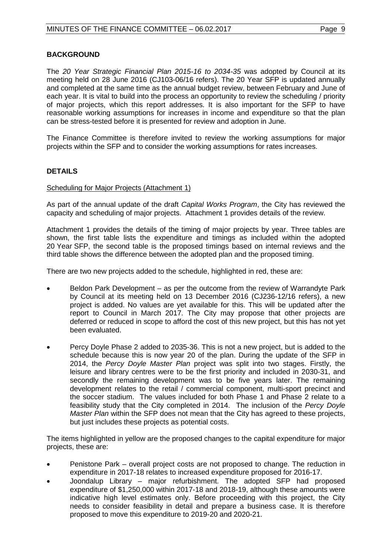# **BACKGROUND**

The *20 Year Strategic Financial Plan 2015-16 to 2034-35* was adopted by Council at its meeting held on 28 June 2016 (CJ103-06/16 refers). The 20 Year SFP is updated annually and completed at the same time as the annual budget review, between February and June of each year. It is vital to build into the process an opportunity to review the scheduling / priority of major projects, which this report addresses. It is also important for the SFP to have reasonable working assumptions for increases in income and expenditure so that the plan can be stress-tested before it is presented for review and adoption in June.

The Finance Committee is therefore invited to review the working assumptions for major projects within the SFP and to consider the working assumptions for rates increases.

# **DETAILS**

#### Scheduling for Major Projects (Attachment 1)

As part of the annual update of the draft *Capital Works Program*, the City has reviewed the capacity and scheduling of major projects. Attachment 1 provides details of the review.

Attachment 1 provides the details of the timing of major projects by year. Three tables are shown, the first table lists the expenditure and timings as included within the adopted 20 Year SFP, the second table is the proposed timings based on internal reviews and the third table shows the difference between the adopted plan and the proposed timing.

There are two new projects added to the schedule, highlighted in red, these are:

- Beldon Park Development as per the outcome from the review of Warrandyte Park by Council at its meeting held on 13 December 2016 (CJ236-12/16 refers), a new project is added. No values are yet available for this. This will be updated after the report to Council in March 2017. The City may propose that other projects are deferred or reduced in scope to afford the cost of this new project, but this has not yet been evaluated.
- Percy Doyle Phase 2 added to 2035-36. This is not a new project, but is added to the schedule because this is now year 20 of the plan. During the update of the SFP in 2014, the *Percy Doyle Master Plan* project was split into two stages. Firstly, the leisure and library centres were to be the first priority and included in 2030-31, and secondly the remaining development was to be five years later. The remaining development relates to the retail / commercial component, multi-sport precinct and the soccer stadium. The values included for both Phase 1 and Phase 2 relate to a feasibility study that the City completed in 2014. The inclusion of the *Percy Doyle Master Plan* within the SFP does not mean that the City has agreed to these projects, but just includes these projects as potential costs.

The items highlighted in yellow are the proposed changes to the capital expenditure for major projects, these are:

- Penistone Park overall project costs are not proposed to change. The reduction in expenditure in 2017-18 relates to increased expenditure proposed for 2016-17.
- Joondalup Library major refurbishment. The adopted SFP had proposed expenditure of \$1,250,000 within 2017-18 and 2018-19, although these amounts were indicative high level estimates only. Before proceeding with this project, the City needs to consider feasibility in detail and prepare a business case. It is therefore proposed to move this expenditure to 2019-20 and 2020-21.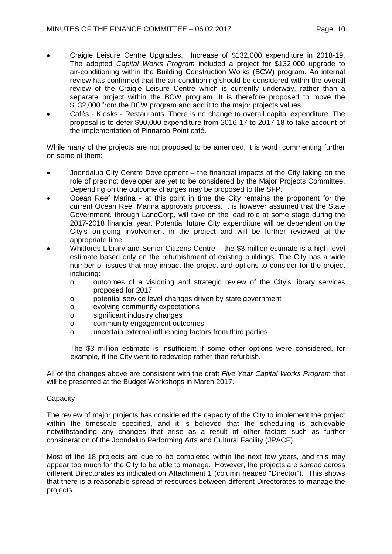- Craigie Leisure Centre Upgrades. Increase of \$132,000 expenditure in 2018-19. The adopted *Capital Works Program* included a project for \$132,000 upgrade to air-conditioning within the Building Construction Works (BCW) program. An internal review has confirmed that the air-conditioning should be considered within the overall review of the Craigie Leisure Centre which is currently underway, rather than a separate project within the BCW program. It is therefore proposed to move the \$132,000 from the BCW program and add it to the major projects values.
- Cafés Kiosks Restaurants. There is no change to overall capital expenditure. The proposal is to defer \$90,000 expenditure from 2016-17 to 2017-18 to take account of the implementation of Pinnaroo Point café.

While many of the projects are not proposed to be amended, it is worth commenting further on some of them:

- Joondalup City Centre Development the financial impacts of the City taking on the role of precinct developer are yet to be considered by the Major Projects Committee. Depending on the outcome changes may be proposed to the SFP.
- Ocean Reef Marina at this point in time the City remains the proponent for the current Ocean Reef Marina approvals process. It is however assumed that the State Government, through LandCorp, will take on the lead role at some stage during the 2017-2018 financial year. Potential future City expenditure will be dependent on the City's on-going involvement in the project and will be further reviewed at the appropriate time.
- Whitfords Library and Senior Citizens Centre the \$3 million estimate is a high level estimate based only on the refurbishment of existing buildings. The City has a wide number of issues that may impact the project and options to consider for the project including:
	- o outcomes of a visioning and strategic review of the City's library services proposed for 2017
	- o potential service level changes driven by state government
	- evolving community expectations
	- o significant industry changes
	- o community engagement outcomes
	- o uncertain external influencing factors from third parties.

The \$3 million estimate is insufficient if some other options were considered, for example, if the City were to redevelop rather than refurbish.

All of the changes above are consistent with the draft *Five Year Capital Works Program* that will be presented at the Budget Workshops in March 2017.

# **Capacity**

The review of major projects has considered the capacity of the City to implement the project within the timescale specified, and it is believed that the scheduling is achievable notwithstanding any changes that arise as a result of other factors such as further consideration of the Joondalup Performing Arts and Cultural Facility (JPACF).

Most of the 18 projects are due to be completed within the next few years, and this may appear too much for the City to be able to manage. However, the projects are spread across different Directorates as indicated on Attachment 1 (column headed "Director"). This shows that there is a reasonable spread of resources between different Directorates to manage the projects.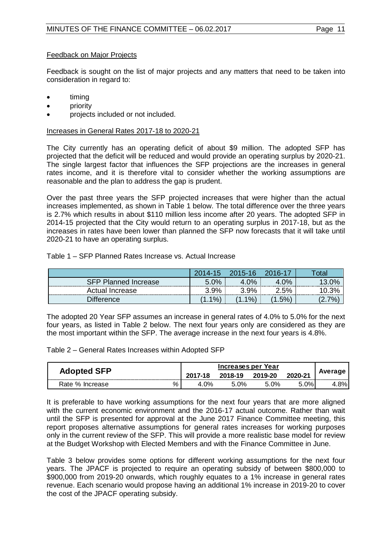# Feedback on Major Projects

Feedback is sought on the list of major projects and any matters that need to be taken into consideration in regard to:

- timing
- **priority**
- projects included or not included.

Increases in General Rates 2017-18 to 2020-21

The City currently has an operating deficit of about \$9 million. The adopted SFP has projected that the deficit will be reduced and would provide an operating surplus by 2020-21. The single largest factor that influences the SFP projections are the increases in general rates income, and it is therefore vital to consider whether the working assumptions are reasonable and the plan to address the gap is prudent.

Over the past three years the SFP projected increases that were higher than the actual increases implemented, as shown in Table 1 below. The total difference over the three years is 2.7% which results in about \$110 million less income after 20 years. The adopted SFP in 2014-15 projected that the City would return to an operating surplus in 2017-18, but as the increases in rates have been lower than planned the SFP now forecasts that it will take until 2020-21 to have an operating surplus.

#### Table 1 – SFP Planned Rates Increase vs. Actual Increase

|                      | 2014-15 | 2015-16    | 2016-17 | <b>Total</b> |
|----------------------|---------|------------|---------|--------------|
| SFP Planned Increase | 5.0%    | $\gamma$ % | 4.0%    | 13.0%        |
| Actual Increase      | 3.9%    | 9%         | 2.5%    | 3%           |
| Difterence∶          | $1\%$   | $1\%$      | $.5\%$  | 7%           |

The adopted 20 Year SFP assumes an increase in general rates of 4.0% to 5.0% for the next four years, as listed in Table 2 below. The next four years only are considered as they are the most important within the SFP. The average increase in the next four years is 4.8%.

Table 2 – General Rates Increases within Adopted SFP

|                         | Increases per Year |         |         |                              |         |
|-------------------------|--------------------|---------|---------|------------------------------|---------|
| <b>Adopted SFP</b>      | $\overline{A}$     | 2018-19 | 2019-20 | 2020-21<br>----------------- | Average |
| %<br>Rate %<br>Increase | ገ%                 | ገ%      | 9%      | $\Omega$                     | 8%      |

It is preferable to have working assumptions for the next four years that are more aligned with the current economic environment and the 2016-17 actual outcome. Rather than wait until the SFP is presented for approval at the June 2017 Finance Committee meeting, this report proposes alternative assumptions for general rates increases for working purposes only in the current review of the SFP. This will provide a more realistic base model for review at the Budget Workshop with Elected Members and with the Finance Committee in June.

Table 3 below provides some options for different working assumptions for the next four years. The JPACF is projected to require an operating subsidy of between \$800,000 to \$900,000 from 2019-20 onwards, which roughly equates to a 1% increase in general rates revenue. Each scenario would propose having an additional 1% increase in 2019-20 to cover the cost of the JPACF operating subsidy.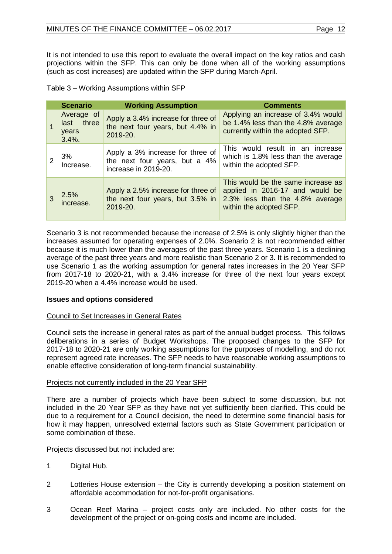It is not intended to use this report to evaluate the overall impact on the key ratios and cash projections within the SFP. This can only be done when all of the working assumptions (such as cost increases) are updated within the SFP during March-April.

|   | <b>Scenario</b>                                | <b>Working Assumption</b>                                                                 | <b>Comments</b>                                                                                                                     |
|---|------------------------------------------------|-------------------------------------------------------------------------------------------|-------------------------------------------------------------------------------------------------------------------------------------|
|   | Average of<br>last three<br>years<br>$3.4\%$ . | Apply a 3.4% increase for three of<br>the next four years, but 4.4% in<br>2019-20.        | Applying an increase of 3.4% would<br>be 1.4% less than the 4.8% average<br>currently within the adopted SFP.                       |
|   | 3%<br>Increase.                                | Apply a 3% increase for three of<br>the next four years, but a 4%<br>increase in 2019-20. | This would result in an increase<br>which is 1.8% less than the average<br>within the adopted SFP.                                  |
| 3 | 2.5%<br>increase.                              | Apply a 2.5% increase for three of<br>the next four years, but 3.5% in<br>2019-20.        | This would be the same increase as<br>applied in 2016-17 and would be<br>2.3% less than the 4.8% average<br>within the adopted SFP. |

Scenario 3 is not recommended because the increase of 2.5% is only slightly higher than the increases assumed for operating expenses of 2.0%. Scenario 2 is not recommended either because it is much lower than the averages of the past three years. Scenario 1 is a declining average of the past three years and more realistic than Scenario 2 or 3. It is recommended to use Scenario 1 as the working assumption for general rates increases in the 20 Year SFP from 2017-18 to 2020-21, with a 3.4% increase for three of the next four years except 2019-20 when a 4.4% increase would be used.

# **Issues and options considered**

# Council to Set Increases in General Rates

Council sets the increase in general rates as part of the annual budget process. This follows deliberations in a series of Budget Workshops. The proposed changes to the SFP for 2017-18 to 2020-21 are only working assumptions for the purposes of modelling, and do not represent agreed rate increases. The SFP needs to have reasonable working assumptions to enable effective consideration of long-term financial sustainability.

# Projects not currently included in the 20 Year SFP

There are a number of projects which have been subject to some discussion, but not included in the 20 Year SFP as they have not yet sufficiently been clarified. This could be due to a requirement for a Council decision, the need to determine some financial basis for how it may happen, unresolved external factors such as State Government participation or some combination of these.

Projects discussed but not included are:

- 1 Digital Hub.
- 2 Lotteries House extension the City is currently developing a position statement on affordable accommodation for not-for-profit organisations.
- 3 Ocean Reef Marina project costs only are included. No other costs for the development of the project or on-going costs and income are included.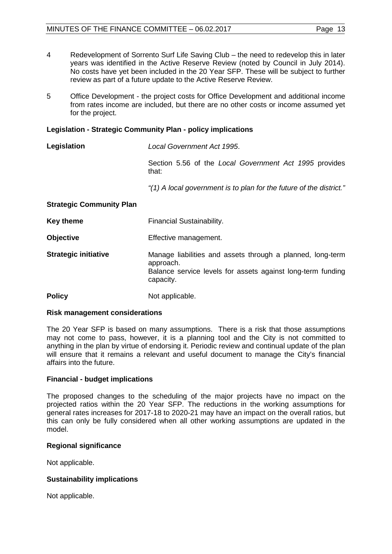- 4 Redevelopment of Sorrento Surf Life Saving Club the need to redevelop this in later years was identified in the Active Reserve Review (noted by Council in July 2014). No costs have yet been included in the 20 Year SFP. These will be subject to further review as part of a future update to the Active Reserve Review.
- 5 Office Development the project costs for Office Development and additional income from rates income are included, but there are no other costs or income assumed yet for the project.

# **Legislation - Strategic Community Plan - policy implications**

| Legislation                     | Local Government Act 1995.                                                                                                                          |  |  |
|---------------------------------|-----------------------------------------------------------------------------------------------------------------------------------------------------|--|--|
|                                 | Section 5.56 of the Local Government Act 1995 provides<br>that:                                                                                     |  |  |
|                                 | "(1) A local government is to plan for the future of the district."                                                                                 |  |  |
| <b>Strategic Community Plan</b> |                                                                                                                                                     |  |  |
| <b>Key theme</b>                | Financial Sustainability.                                                                                                                           |  |  |
| <b>Objective</b>                | Effective management.                                                                                                                               |  |  |
| <b>Strategic initiative</b>     | Manage liabilities and assets through a planned, long-term<br>approach.<br>Balance service levels for assets against long-term funding<br>capacity. |  |  |

#### **Policy** Not applicable.

#### **Risk management considerations**

The 20 Year SFP is based on many assumptions. There is a risk that those assumptions may not come to pass, however, it is a planning tool and the City is not committed to anything in the plan by virtue of endorsing it. Periodic review and continual update of the plan will ensure that it remains a relevant and useful document to manage the City's financial affairs into the future.

# **Financial - budget implications**

The proposed changes to the scheduling of the major projects have no impact on the projected ratios within the 20 Year SFP. The reductions in the working assumptions for general rates increases for 2017-18 to 2020-21 may have an impact on the overall ratios, but this can only be fully considered when all other working assumptions are updated in the model.

# **Regional significance**

Not applicable.

# **Sustainability implications**

Not applicable.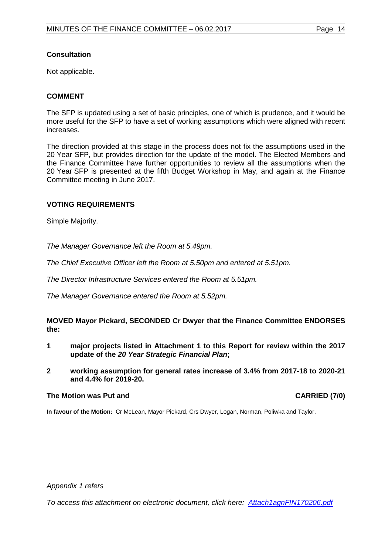# **Consultation**

Not applicable.

# **COMMENT**

The SFP is updated using a set of basic principles, one of which is prudence, and it would be more useful for the SFP to have a set of working assumptions which were aligned with recent increases.

The direction provided at this stage in the process does not fix the assumptions used in the 20 Year SFP, but provides direction for the update of the model. The Elected Members and the Finance Committee have further opportunities to review all the assumptions when the 20 Year SFP is presented at the fifth Budget Workshop in May, and again at the Finance Committee meeting in June 2017.

# **VOTING REQUIREMENTS**

Simple Majority.

*The Manager Governance left the Room at 5.49pm.*

*The Chief Executive Officer left the Room at 5.50pm and entered at 5.51pm.*

*The Director Infrastructure Services entered the Room at 5.51pm.*

*The Manager Governance entered the Room at 5.52pm.* 

**MOVED Mayor Pickard, SECONDED Cr Dwyer that the Finance Committee ENDORSES the:**

- **1 major projects listed in Attachment 1 to this Report for review within the 2017 update of the** *20 Year Strategic Financial Plan***;**
- **2 working assumption for general rates increase of 3.4% from 2017-18 to 2020-21 and 4.4% for 2019-20.**

# **The Motion was Put and CARRIED (7/0)**

**In favour of the Motion:** Cr McLean, Mayor Pickard, Crs Dwyer, Logan, Norman, Poliwka and Taylor.

*Appendix 1 refers*

*[To access this attachment on electronic document, click here: Attach1agnFIN170206.pdf](http://www.joondalup.wa.gov.au/files/committees/FINC/2017/Attach1agnFIN170206.pdf)*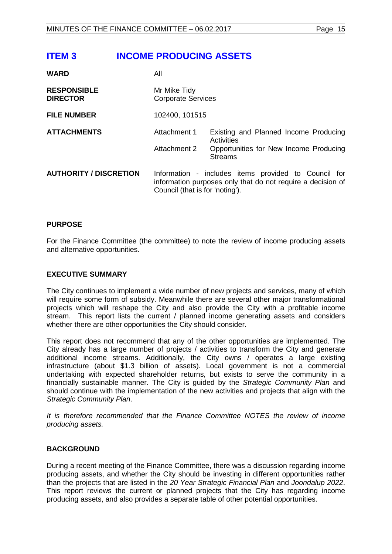# <span id="page-14-0"></span>**ITEM 3 INCOME PRODUCING ASSETS**

| <b>WARD</b>                           | All                                                                                                                                                    |                                                                                                                 |  |
|---------------------------------------|--------------------------------------------------------------------------------------------------------------------------------------------------------|-----------------------------------------------------------------------------------------------------------------|--|
| <b>RESPONSIBLE</b><br><b>DIRECTOR</b> | Mr Mike Tidy<br><b>Corporate Services</b>                                                                                                              |                                                                                                                 |  |
| <b>FILE NUMBER</b>                    | 102400, 101515                                                                                                                                         |                                                                                                                 |  |
| <b>ATTACHMENTS</b>                    | Attachment 1<br>Attachment 2                                                                                                                           | Existing and Planned Income Producing<br>Activities<br>Opportunities for New Income Producing<br><b>Streams</b> |  |
| <b>AUTHORITY / DISCRETION</b>         | Information - includes items provided to Council for<br>information purposes only that do not require a decision of<br>Council (that is for 'noting'). |                                                                                                                 |  |

# **PURPOSE**

For the Finance Committee (the committee) to note the review of income producing assets and alternative opportunities.

#### **EXECUTIVE SUMMARY**

The City continues to implement a wide number of new projects and services, many of which will require some form of subsidy. Meanwhile there are several other major transformational projects which will reshape the City and also provide the City with a profitable income stream. This report lists the current / planned income generating assets and considers whether there are other opportunities the City should consider.

This report does not recommend that any of the other opportunities are implemented. The City already has a large number of projects / activities to transform the City and generate additional income streams. Additionally, the City owns / operates a large existing infrastructure (about \$1.3 billion of assets). Local government is not a commercial undertaking with expected shareholder returns, but exists to serve the community in a financially sustainable manner. The City is guided by the *Strategic Community Plan* and should continue with the implementation of the new activities and projects that align with the *Strategic Community Plan*.

It is therefore recommended that the Finance Committee NOTES the review of income *producing assets.*

# **BACKGROUND**

During a recent meeting of the Finance Committee, there was a discussion regarding income producing assets, and whether the City should be investing in different opportunities rather than the projects that are listed in the *20 Year Strategic Financial Plan* and *Joondalup 2022*. This report reviews the current or planned projects that the City has regarding income producing assets, and also provides a separate table of other potential opportunities.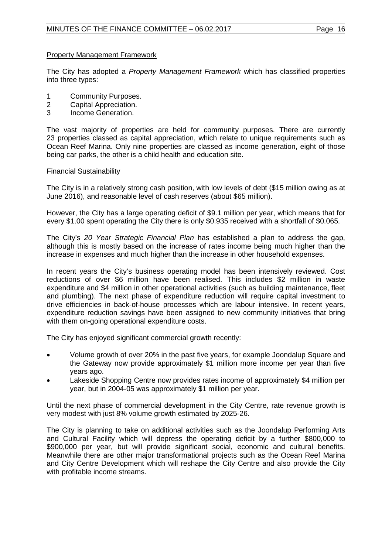# Property Management Framework

The City has adopted a *Property Management Framework* which has classified properties into three types:

- 1 Community Purposes.<br>2 Capital Appreciation.
- 2 Capital Appreciation.<br>3 Income Generation.
- Income Generation.

The vast majority of properties are held for community purposes. There are currently 23 properties classed as capital appreciation, which relate to unique requirements such as Ocean Reef Marina. Only nine properties are classed as income generation, eight of those being car parks, the other is a child health and education site.

#### Financial Sustainability

The City is in a relatively strong cash position, with low levels of debt (\$15 million owing as at June 2016), and reasonable level of cash reserves (about \$65 million).

However, the City has a large operating deficit of \$9.1 million per year, which means that for every \$1.00 spent operating the City there is only \$0.935 received with a shortfall of \$0.065.

The City's *20 Year Strategic Financial Plan* has established a plan to address the gap, although this is mostly based on the increase of rates income being much higher than the increase in expenses and much higher than the increase in other household expenses.

In recent years the City's business operating model has been intensively reviewed. Cost reductions of over \$6 million have been realised. This includes \$2 million in waste expenditure and \$4 million in other operational activities (such as building maintenance, fleet and plumbing). The next phase of expenditure reduction will require capital investment to drive efficiencies in back-of-house processes which are labour intensive. In recent years, expenditure reduction savings have been assigned to new community initiatives that bring with them on-going operational expenditure costs.

The City has enjoyed significant commercial growth recently:

- Volume growth of over 20% in the past five years, for example Joondalup Square and the Gateway now provide approximately \$1 million more income per year than five years ago.
- Lakeside Shopping Centre now provides rates income of approximately \$4 million per year, but in 2004-05 was approximately \$1 million per year.

Until the next phase of commercial development in the City Centre, rate revenue growth is very modest with just 8% volume growth estimated by 2025-26.

The City is planning to take on additional activities such as the Joondalup Performing Arts and Cultural Facility which will depress the operating deficit by a further \$800,000 to \$900,000 per year, but will provide significant social, economic and cultural benefits. Meanwhile there are other major transformational projects such as the Ocean Reef Marina and City Centre Development which will reshape the City Centre and also provide the City with profitable income streams.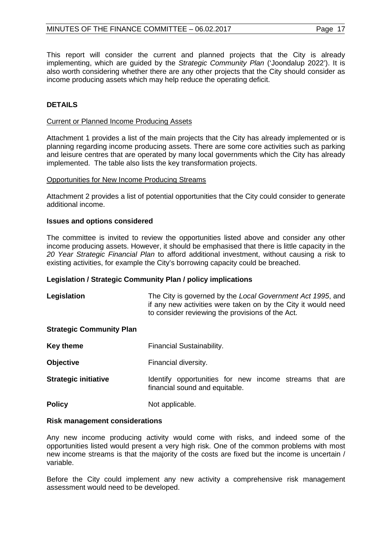This report will consider the current and planned projects that the City is already implementing, which are guided by the *Strategic Community Plan* ('Joondalup 2022'). It is also worth considering whether there are any other projects that the City should consider as income producing assets which may help reduce the operating deficit.

# **DETAILS**

#### Current or Planned Income Producing Assets

Attachment 1 provides a list of the main projects that the City has already implemented or is planning regarding income producing assets. There are some core activities such as parking and leisure centres that are operated by many local governments which the City has already implemented. The table also lists the key transformation projects.

#### Opportunities for New Income Producing Streams

Attachment 2 provides a list of potential opportunities that the City could consider to generate additional income.

#### **Issues and options considered**

The committee is invited to review the opportunities listed above and consider any other income producing assets. However, it should be emphasised that there is little capacity in the *20 Year Strategic Financial Plan* to afford additional investment, without causing a risk to existing activities, for example the City's borrowing capacity could be breached.

#### **Legislation / Strategic Community Plan / policy implications**

| Legislation                     | The City is governed by the Local Government Act 1995, and<br>if any new activities were taken on by the City it would need<br>to consider reviewing the provisions of the Act. |  |  |
|---------------------------------|---------------------------------------------------------------------------------------------------------------------------------------------------------------------------------|--|--|
| <b>Strategic Community Plan</b> |                                                                                                                                                                                 |  |  |
| Key theme                       | Financial Sustainability.                                                                                                                                                       |  |  |

- **Objective** Financial diversity.
- **Strategic initiative IDENTIFY IS EXAM IDENTIFY** opportunities for new income streams that are financial sound and equitable.
- **Policy** Not applicable.

#### **Risk management considerations**

Any new income producing activity would come with risks, and indeed some of the opportunities listed would present a very high risk. One of the common problems with most new income streams is that the majority of the costs are fixed but the income is uncertain / variable.

Before the City could implement any new activity a comprehensive risk management assessment would need to be developed.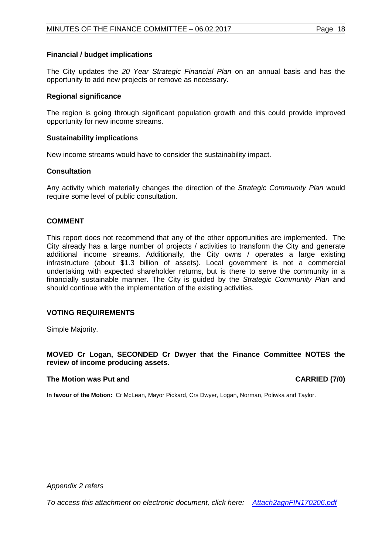# **Financial / budget implications**

The City updates the *20 Year Strategic Financial Plan* on an annual basis and has the opportunity to add new projects or remove as necessary.

#### **Regional significance**

The region is going through significant population growth and this could provide improved opportunity for new income streams.

#### **Sustainability implications**

New income streams would have to consider the sustainability impact.

#### **Consultation**

Any activity which materially changes the direction of the *Strategic Community Plan* would require some level of public consultation.

# **COMMENT**

This report does not recommend that any of the other opportunities are implemented. The City already has a large number of projects / activities to transform the City and generate additional income streams. Additionally, the City owns / operates a large existing infrastructure (about \$1.3 billion of assets). Local government is not a commercial undertaking with expected shareholder returns, but is there to serve the community in a financially sustainable manner. The City is guided by the *Strategic Community Plan* and should continue with the implementation of the existing activities.

# **VOTING REQUIREMENTS**

Simple Majority.

# **MOVED Cr Logan, SECONDED Cr Dwyer that the Finance Committee NOTES the review of income producing assets.**

#### **The Motion was Put and CARRIED (7/0)**

**In favour of the Motion:** Cr McLean, Mayor Pickard, Crs Dwyer, Logan, Norman, Poliwka and Taylor.

*Appendix 2 refers*

*[To access this attachment on electronic document, click here: Attach2agnFIN170206.pdf](http://www.joondalup.wa.gov.au/files/committees/FINC/2017/Attach2agnFIN170206.pdf)*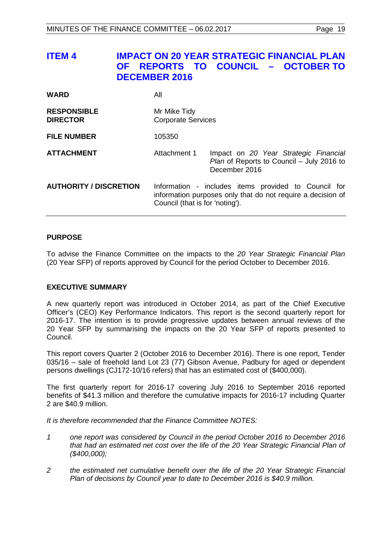<span id="page-18-0"></span>

| <b>ITEM4</b>                          | <b>OF</b><br><b>DECEMBER 2016</b>         | <b>IMPACT ON 20 YEAR STRATEGIC FINANCIAL PLAN</b><br>REPORTS TO COUNCIL - OCTOBER TO                                |
|---------------------------------------|-------------------------------------------|---------------------------------------------------------------------------------------------------------------------|
| <b>WARD</b>                           | All                                       |                                                                                                                     |
| <b>RESPONSIBLE</b><br><b>DIRECTOR</b> | Mr Mike Tidy<br><b>Corporate Services</b> |                                                                                                                     |
| <b>FILE NUMBER</b>                    | 105350                                    |                                                                                                                     |
| <b>ATTACHMENT</b>                     | Attachment 1                              | Impact on 20 Year Strategic Financial<br>Plan of Reports to Council - July 2016 to<br>December 2016                 |
| <b>AUTHORITY / DISCRETION</b>         | Council (that is for 'noting').           | Information - includes items provided to Council for<br>information purposes only that do not require a decision of |
|                                       |                                           |                                                                                                                     |

# **PURPOSE**

To advise the Finance Committee on the impacts to the *20 Year Strategic Financial Plan* (20 Year SFP) of reports approved by Council for the period October to December 2016.

# **EXECUTIVE SUMMARY**

A new quarterly report was introduced in October 2014, as part of the Chief Executive Officer's (CEO) Key Performance Indicators. This report is the second quarterly report for 2016-17. The intention is to provide progressive updates between annual reviews of the 20 Year SFP by summarising the impacts on the 20 Year SFP of reports presented to Council.

This report covers Quarter 2 (October 2016 to December 2016). There is one report, Tender 035/16 – sale of freehold land Lot 23 (77) Gibson Avenue, Padbury for aged or dependent persons dwellings (CJ172-10/16 refers) that has an estimated cost of (\$400,000).

The first quarterly report for 2016-17 covering July 2016 to September 2016 reported benefits of \$41.3 million and therefore the cumulative impacts for 2016-17 including Quarter 2 are \$40.9 million.

*It is therefore recommended that the Finance Committee NOTES:*

- *1 one report was considered by Council in the period October 2016 to December 2016 that had an estimated net cost over the life of the 20 Year Strategic Financial Plan of (\$400,000);*
- *2 the estimated net cumulative benefit over the life of the 20 Year Strategic Financial Plan of decisions by Council year to date to December 2016 is \$40.9 million.*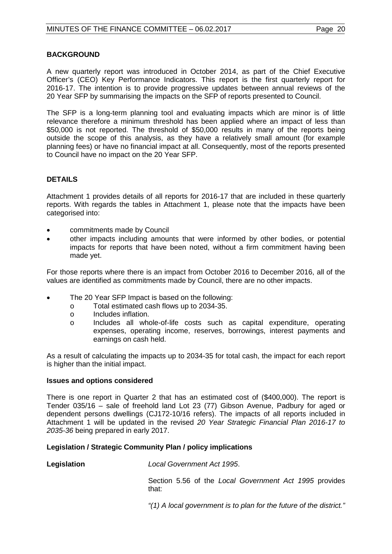# **BACKGROUND**

A new quarterly report was introduced in October 2014, as part of the Chief Executive Officer's (CEO) Key Performance Indicators. This report is the first quarterly report for 2016-17. The intention is to provide progressive updates between annual reviews of the 20 Year SFP by summarising the impacts on the SFP of reports presented to Council.

The SFP is a long-term planning tool and evaluating impacts which are minor is of little relevance therefore a minimum threshold has been applied where an impact of less than \$50,000 is not reported. The threshold of \$50,000 results in many of the reports being outside the scope of this analysis, as they have a relatively small amount (for example planning fees) or have no financial impact at all. Consequently, most of the reports presented to Council have no impact on the 20 Year SFP.

# **DETAILS**

Attachment 1 provides details of all reports for 2016-17 that are included in these quarterly reports. With regards the tables in Attachment 1, please note that the impacts have been categorised into:

- commitments made by Council
- other impacts including amounts that were informed by other bodies, or potential impacts for reports that have been noted, without a firm commitment having been made yet.

For those reports where there is an impact from October 2016 to December 2016, all of the values are identified as commitments made by Council, there are no other impacts.

- The 20 Year SFP Impact is based on the following:
	- o Total estimated cash flows up to 2034-35.
	- o Includes inflation.<br>
	o Includes all who
	- Includes all whole-of-life costs such as capital expenditure, operating expenses, operating income, reserves, borrowings, interest payments and earnings on cash held.

As a result of calculating the impacts up to 2034-35 for total cash, the impact for each report is higher than the initial impact.

# **Issues and options considered**

There is one report in Quarter 2 that has an estimated cost of (\$400,000). The report is Tender 035/16 – sale of freehold land Lot 23 (77) Gibson Avenue, Padbury for aged or dependent persons dwellings (CJ172-10/16 refers). The impacts of all reports included in Attachment 1 will be updated in the revised *20 Year Strategic Financial Plan 2016-17 to 2035-36* being prepared in early 2017.

# **Legislation / Strategic Community Plan / policy implications**

**Legislation** *Local Government Act 1995*.

Section 5.56 of the *Local Government Act 1995* provides that:

*"(1) A local government is to plan for the future of the district."*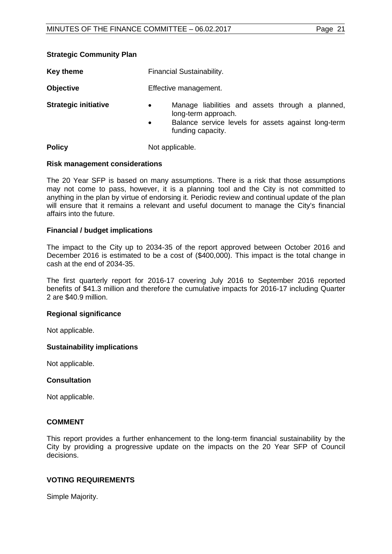| <b>Key theme</b>            | Financial Sustainability.                                                                                                                                                     |  |  |
|-----------------------------|-------------------------------------------------------------------------------------------------------------------------------------------------------------------------------|--|--|
| <b>Objective</b>            | Effective management.                                                                                                                                                         |  |  |
| <b>Strategic initiative</b> | Manage liabilities and assets through a planned,<br>$\bullet$<br>long-term approach.<br>Balance service levels for assets against long-term<br>$\bullet$<br>funding capacity. |  |  |
| <b>Policy</b>               | Not applicable.                                                                                                                                                               |  |  |

#### **Risk management considerations**

**Strategic Community Plan**

The 20 Year SFP is based on many assumptions. There is a risk that those assumptions may not come to pass, however, it is a planning tool and the City is not committed to anything in the plan by virtue of endorsing it. Periodic review and continual update of the plan will ensure that it remains a relevant and useful document to manage the City's financial affairs into the future.

#### **Financial / budget implications**

The impact to the City up to 2034-35 of the report approved between October 2016 and December 2016 is estimated to be a cost of (\$400,000). This impact is the total change in cash at the end of 2034-35.

The first quarterly report for 2016-17 covering July 2016 to September 2016 reported benefits of \$41.3 million and therefore the cumulative impacts for 2016-17 including Quarter 2 are \$40.9 million.

#### **Regional significance**

Not applicable.

#### **Sustainability implications**

Not applicable.

# **Consultation**

Not applicable.

#### **COMMENT**

This report provides a further enhancement to the long-term financial sustainability by the City by providing a progressive update on the impacts on the 20 Year SFP of Council decisions.

#### **VOTING REQUIREMENTS**

Simple Majority.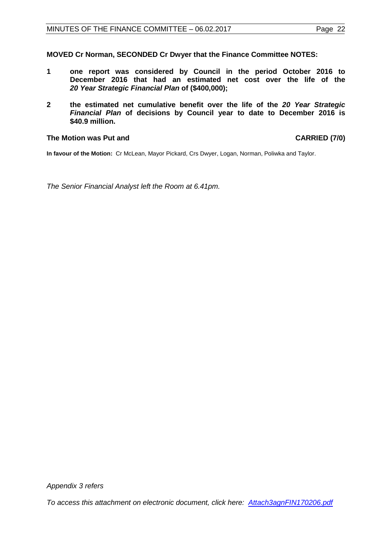**MOVED Cr Norman, SECONDED Cr Dwyer that the Finance Committee NOTES:**

- **1 one report was considered by Council in the period October 2016 to December 2016 that had an estimated net cost over the life of the**  *20 Year Strategic Financial Plan* **of (\$400,000);**
- **2 the estimated net cumulative benefit over the life of the** *20 Year Strategic Financial Plan* **of decisions by Council year to date to December 2016 is \$40.9 million.**

#### **The Motion was Put and CARRIED (7/0)**

**In favour of the Motion:** Cr McLean, Mayor Pickard, Crs Dwyer, Logan, Norman, Poliwka and Taylor.

*The Senior Financial Analyst left the Room at 6.41pm.*

*Appendix 3 refers*

*[To access this attachment on electronic document, click here: Attach3agnFIN170206.pdf](http://www.joondalup.wa.gov.au/files/committees/FINC/2017/Attach3agnFIN170206.pdf)*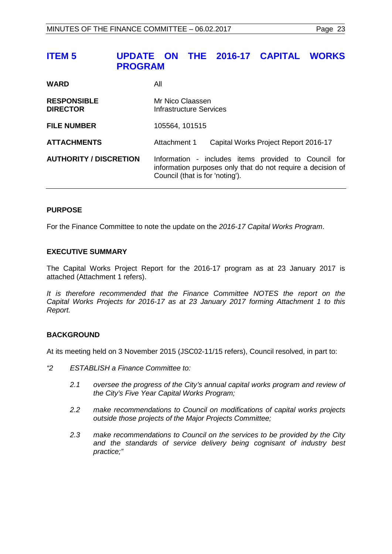# <span id="page-22-0"></span>**ITEM 5 UPDATE ON THE 2016-17 CAPITAL WORKS PROGRAM**

| <b>WARD</b>                           | All                                                                                                                                                    |  |  |
|---------------------------------------|--------------------------------------------------------------------------------------------------------------------------------------------------------|--|--|
| <b>RESPONSIBLE</b><br><b>DIRECTOR</b> | Mr Nico Claassen<br>Infrastructure Services                                                                                                            |  |  |
| <b>FILE NUMBER</b>                    | 105564, 101515                                                                                                                                         |  |  |
| <b>ATTACHMENTS</b>                    | Attachment 1<br>Capital Works Project Report 2016-17                                                                                                   |  |  |
| <b>AUTHORITY / DISCRETION</b>         | Information - includes items provided to Council for<br>information purposes only that do not require a decision of<br>Council (that is for 'noting'). |  |  |

# **PURPOSE**

For the Finance Committee to note the update on the *2016-17 Capital Works Program*.

# **EXECUTIVE SUMMARY**

The Capital Works Project Report for the 2016-17 program as at 23 January 2017 is attached (Attachment 1 refers).

*It is therefore recommended that the Finance Committee NOTES the report on the Capital Works Projects for 2016-17 as at 23 January 2017 forming Attachment 1 to this Report.*

# **BACKGROUND**

At its meeting held on 3 November 2015 (JSC02-11/15 refers), Council resolved, in part to:

- *"2 ESTABLISH a Finance Committee to:*
	- *2.1 oversee the progress of the City's annual capital works program and review of the City's Five Year Capital Works Program;*
	- *2.2 make recommendations to Council on modifications of capital works projects outside those projects of the Major Projects Committee;*
	- *2.3 make recommendations to Council on the services to be provided by the City and the standards of service delivery being cognisant of industry best practice;"*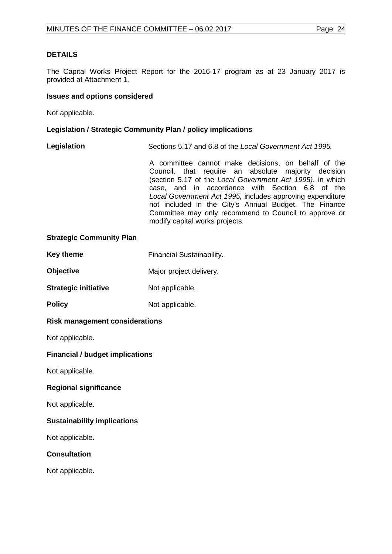# **DETAILS**

The Capital Works Project Report for the 2016-17 program as at 23 January 2017 is provided at Attachment 1.

#### **Issues and options considered**

Not applicable.

#### **Legislation / Strategic Community Plan / policy implications**

**Legislation** Sections 5.17 and 6.8 of the *Local Government Act 1995.*

A committee cannot make decisions, on behalf of the Council, that require an absolute majority decision (section 5.17 of the *Local Government Act 1995)*, in which case, and in accordance with Section 6.8 of the *Local Government Act 1995,* includes approving expenditure not included in the City's Annual Budget. The Finance Committee may only recommend to Council to approve or modify capital works projects.

#### **Strategic Community Plan**

| <b>Key theme</b> | <b>Financial Sustainability.</b> |
|------------------|----------------------------------|
|------------------|----------------------------------|

- **Objective** Major project delivery.
- **Strategic initiative** Not applicable.
- **Policy** Not applicable.

# **Risk management considerations**

Not applicable.

# **Financial / budget implications**

Not applicable.

# **Regional significance**

Not applicable.

# **Sustainability implications**

Not applicable.

# **Consultation**

Not applicable.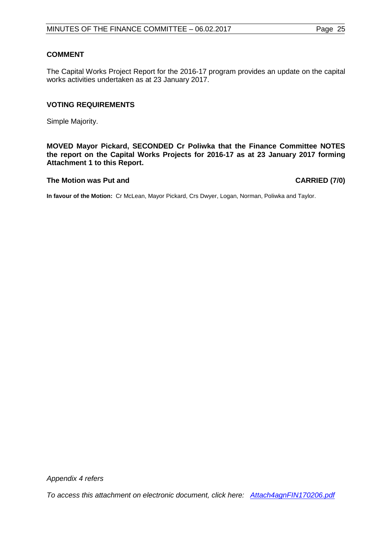# **COMMENT**

The Capital Works Project Report for the 2016-17 program provides an update on the capital works activities undertaken as at 23 January 2017.

#### **VOTING REQUIREMENTS**

Simple Majority.

**MOVED Mayor Pickard, SECONDED Cr Poliwka that the Finance Committee NOTES the report on the Capital Works Projects for 2016-17 as at 23 January 2017 forming Attachment 1 to this Report.**

#### **The Motion was Put and CARRIED (7/0)**

**In favour of the Motion:** Cr McLean, Mayor Pickard, Crs Dwyer, Logan, Norman, Poliwka and Taylor.

*Appendix 4 refers* 

*[To access this attachment on electronic document, click here: Attach4agnFIN170206.pdf](http://www.joondalup.wa.gov.au/files/committees/FINC/2017/Attach4agnFIN170206.pdf)*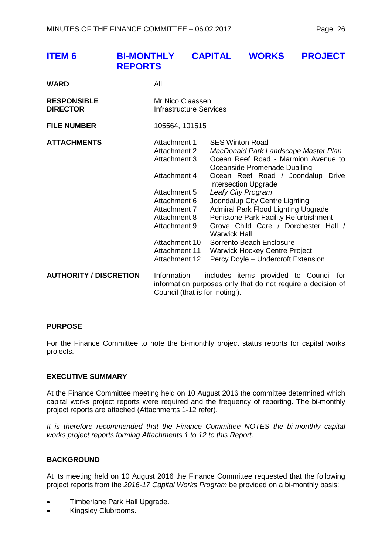<span id="page-25-0"></span>

| <b>ITEM 6</b>                         | <b>BI-MONTHLY</b><br><b>REPORTS</b>                                                                                                                                                                           | <b>CAPITAL</b>                                | <b>WORKS</b>                                                                                                                                                                                                                                                                                                         | <b>PROJECT</b>                                                                                                                                           |
|---------------------------------------|---------------------------------------------------------------------------------------------------------------------------------------------------------------------------------------------------------------|-----------------------------------------------|----------------------------------------------------------------------------------------------------------------------------------------------------------------------------------------------------------------------------------------------------------------------------------------------------------------------|----------------------------------------------------------------------------------------------------------------------------------------------------------|
| <b>WARD</b>                           | All                                                                                                                                                                                                           |                                               |                                                                                                                                                                                                                                                                                                                      |                                                                                                                                                          |
| <b>RESPONSIBLE</b><br><b>DIRECTOR</b> | Mr Nico Claassen<br><b>Infrastructure Services</b>                                                                                                                                                            |                                               |                                                                                                                                                                                                                                                                                                                      |                                                                                                                                                          |
| <b>FILE NUMBER</b>                    | 105564, 101515                                                                                                                                                                                                |                                               |                                                                                                                                                                                                                                                                                                                      |                                                                                                                                                          |
| <b>ATTACHMENTS</b>                    | Attachment 1<br><b>Attachment 2</b><br><b>Attachment 3</b><br>Attachment 4<br>Attachment 5<br>Attachment 6<br>Attachment 7<br>Attachment 8<br>Attachment 9<br>Attachment 10<br>Attachment 11<br>Attachment 12 | <b>SES Winton Road</b><br><b>Warwick Hall</b> | Oceanside Promenade Dualling<br><b>Intersection Upgrade</b><br>Leafy City Program<br>Joondalup City Centre Lighting<br><b>Admiral Park Flood Lighting Upgrade</b><br>Penistone Park Facility Refurbishment<br>Sorrento Beach Enclosure<br><b>Warwick Hockey Centre Project</b><br>Percy Doyle - Undercroft Extension | MacDonald Park Landscape Master Plan<br>Ocean Reef Road - Marmion Avenue to<br>Ocean Reef Road / Joondalup Drive<br>Grove Child Care / Dorchester Hall / |
| <b>AUTHORITY / DISCRETION</b>         |                                                                                                                                                                                                               | Council (that is for 'noting').               |                                                                                                                                                                                                                                                                                                                      | Information - includes items provided to Council for<br>information purposes only that do not require a decision of                                      |

# **PURPOSE**

For the Finance Committee to note the bi-monthly project status reports for capital works projects.

#### **EXECUTIVE SUMMARY**

At the Finance Committee meeting held on 10 August 2016 the committee determined which capital works project reports were required and the frequency of reporting. The bi-monthly project reports are attached (Attachments 1-12 refer).

*It is therefore recommended that the Finance Committee NOTES the bi-monthly capital works project reports forming Attachments 1 to 12 to this Report.*

# **BACKGROUND**

At its meeting held on 10 August 2016 the Finance Committee requested that the following project reports from the *2016-17 Capital Works Program* be provided on a bi-monthly basis:

- Timberlane Park Hall Upgrade.
- Kingsley Clubrooms.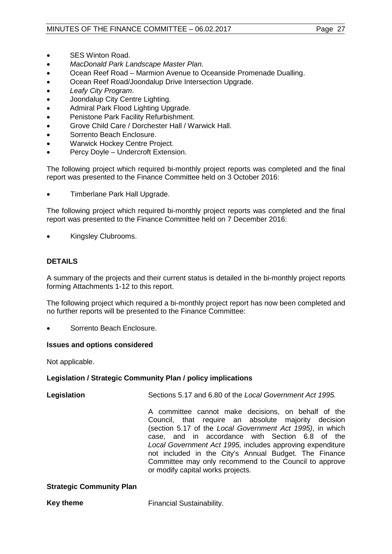- SES Winton Road.
- *MacDonald Park Landscape Master Plan*.
- Ocean Reef Road Marmion Avenue to Oceanside Promenade Dualling.
- Ocean Reef Road/Joondalup Drive Intersection Upgrade.
- *Leafy City Program*.
- Joondalup City Centre Lighting.
- Admiral Park Flood Lighting Upgrade.
- Penistone Park Facility Refurbishment.
- Grove Child Care / Dorchester Hall / Warwick Hall.
- Sorrento Beach Enclosure.
- Warwick Hockey Centre Project.
- Percy Doyle Undercroft Extension.

The following project which required bi-monthly project reports was completed and the final report was presented to the Finance Committee held on 3 October 2016:

• Timberlane Park Hall Upgrade.

The following project which required bi-monthly project reports was completed and the final report was presented to the Finance Committee held on 7 December 2016:

• Kingsley Clubrooms.

# **DETAILS**

A summary of the projects and their current status is detailed in the bi-monthly project reports forming Attachments 1-12 to this report.

The following project which required a bi-monthly project report has now been completed and no further reports will be presented to the Finance Committee:

• Sorrento Beach Enclosure.

# **Issues and options considered**

Not applicable.

# **Legislation / Strategic Community Plan / policy implications**

**Legislation** Sections 5.17 and 6.80 of the *Local Government Act 1995.* A committee cannot make decisions, on behalf of the Council, that require an absolute majority decision (section 5.17 of the *Local Government Act 1995)*, in which case, and in accordance with Section 6.8 of the *Local Government Act 1995,* includes approving expenditure not included in the City's Annual Budget. The Finance

or modify capital works projects.

Committee may only recommend to the Council to approve

# **Strategic Community Plan**

**Key theme** Financial Sustainability.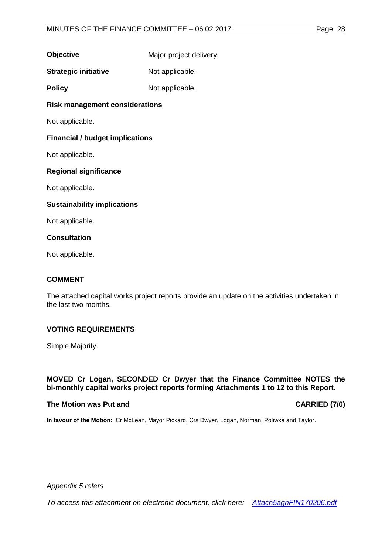| <b>Objective</b> | Major project delivery. |
|------------------|-------------------------|
|------------------|-------------------------|

**Strategic initiative** Not applicable.

**Policy** Not applicable.

**Risk management considerations**

Not applicable.

# **Financial / budget implications**

Not applicable.

# **Regional significance**

Not applicable.

# **Sustainability implications**

Not applicable.

# **Consultation**

Not applicable.

# **COMMENT**

The attached capital works project reports provide an update on the activities undertaken in the last two months.

# **VOTING REQUIREMENTS**

Simple Majority.

# **MOVED Cr Logan, SECONDED Cr Dwyer that the Finance Committee NOTES the bi-monthly capital works project reports forming Attachments 1 to 12 to this Report.**

# **The Motion was Put and CARRIED (7/0)**

**In favour of the Motion:** Cr McLean, Mayor Pickard, Crs Dwyer, Logan, Norman, Poliwka and Taylor.

*Appendix 5 refers*

*[To access this attachment on electronic document, click here: Attach5agnFIN170206.pdf](http://www.joondalup.wa.gov.au/files/committees/FINC/2017/Attach5agnFIN170206.pdf)*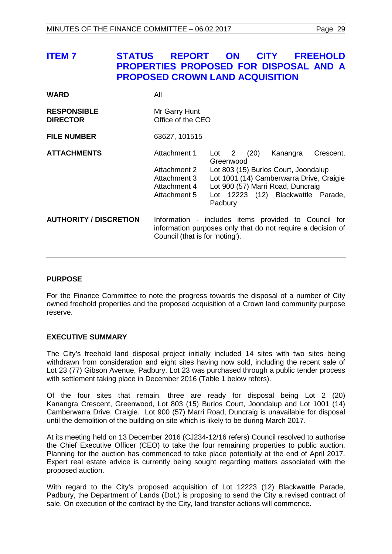# <span id="page-28-0"></span>**ITEM 7 STATUS REPORT ON CITY FREEHOLD PROPERTIES PROPOSED FOR DISPOSAL AND A PROPOSED CROWN LAND ACQUISITION**

| <b>WARD</b>                           | All                                                                                                                                                    |                               |      |                                                                                                                                                                         |           |
|---------------------------------------|--------------------------------------------------------------------------------------------------------------------------------------------------------|-------------------------------|------|-------------------------------------------------------------------------------------------------------------------------------------------------------------------------|-----------|
| <b>RESPONSIBLE</b><br><b>DIRECTOR</b> | Mr Garry Hunt<br>Office of the CEO                                                                                                                     |                               |      |                                                                                                                                                                         |           |
| <b>FILE NUMBER</b>                    | 63627, 101515                                                                                                                                          |                               |      |                                                                                                                                                                         |           |
| <b>ATTACHMENTS</b>                    | Attachment 1<br>Attachment 2<br>Attachment 3<br>Attachment 4<br>Attachment 5                                                                           | Lot 2<br>Greenwood<br>Padbury | (20) | Kanangra<br>Lot 803 (15) Burlos Court, Joondalup<br>Lot 1001 (14) Camberwarra Drive, Craigie<br>Lot 900 (57) Marri Road, Duncraig<br>Lot 12223 (12) Blackwattle Parade, | Crescent, |
| <b>AUTHORITY / DISCRETION</b>         | Information - includes items provided to Council for<br>information purposes only that do not require a decision of<br>Council (that is for 'noting'). |                               |      |                                                                                                                                                                         |           |

# **PURPOSE**

For the Finance Committee to note the progress towards the disposal of a number of City owned freehold properties and the proposed acquisition of a Crown land community purpose reserve.

# **EXECUTIVE SUMMARY**

The City's freehold land disposal project initially included 14 sites with two sites being withdrawn from consideration and eight sites having now sold, including the recent sale of Lot 23 (77) Gibson Avenue, Padbury. Lot 23 was purchased through a public tender process with settlement taking place in December 2016 (Table 1 below refers).

Of the four sites that remain, three are ready for disposal being Lot 2 (20) Kanangra Crescent, Greenwood, Lot 803 (15) Burlos Court, Joondalup and Lot 1001 (14) Camberwarra Drive, Craigie. Lot 900 (57) Marri Road, Duncraig is unavailable for disposal until the demolition of the building on site which is likely to be during March 2017.

At its meeting held on 13 December 2016 (CJ234-12/16 refers) Council resolved to authorise the Chief Executive Officer (CEO) to take the four remaining properties to public auction. Planning for the auction has commenced to take place potentially at the end of April 2017. Expert real estate advice is currently being sought regarding matters associated with the proposed auction.

With regard to the City's proposed acquisition of Lot 12223 (12) Blackwattle Parade, Padbury, the Department of Lands (DoL) is proposing to send the City a revised contract of sale. On execution of the contract by the City, land transfer actions will commence.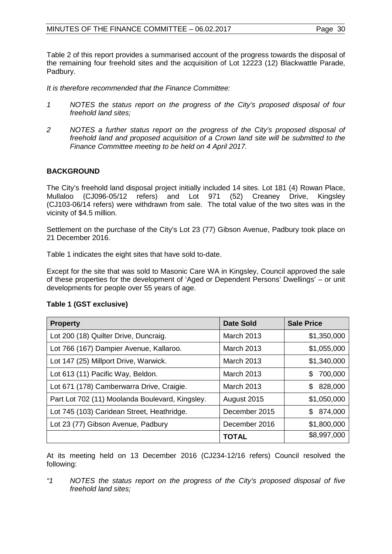Table 2 of this report provides a summarised account of the progress towards the disposal of the remaining four freehold sites and the acquisition of Lot 12223 (12) Blackwattle Parade, Padbury.

*It is therefore recommended that the Finance Committee:*

- *1 NOTES the status report on the progress of the City's proposed disposal of four freehold land sites;*
- *2 NOTES a further status report on the progress of the City's proposed disposal of freehold land and proposed acquisition of a Crown land site will be submitted to the Finance Committee meeting to be held on 4 April 2017.*

# **BACKGROUND**

The City's freehold land disposal project initially included 14 sites. Lot 181 (4) Rowan Place, Mullaloo (CJ096-05/12 refers) and Lot 971 (52) Creaney Drive, Kingsley (CJ103-06/14 refers) were withdrawn from sale. The total value of the two sites was in the vicinity of \$4.5 million.

Settlement on the purchase of the City's Lot 23 (77) Gibson Avenue, Padbury took place on 21 December 2016.

Table 1 indicates the eight sites that have sold to-date.

Except for the site that was sold to Masonic Care WA in Kingsley, Council approved the sale of these properties for the development of 'Aged or Dependent Persons' Dwellings' – or unit developments for people over 55 years of age.

| <b>Property</b>                                 | <b>Date Sold</b>  | <b>Sale Price</b> |
|-------------------------------------------------|-------------------|-------------------|
| Lot 200 (18) Quilter Drive, Duncraig.           | <b>March 2013</b> | \$1,350,000       |
| Lot 766 (167) Dampier Avenue, Kallaroo.         | March 2013        | \$1,055,000       |
| Lot 147 (25) Millport Drive, Warwick.           | <b>March 2013</b> | \$1,340,000       |
| Lot 613 (11) Pacific Way, Beldon.               | <b>March 2013</b> | 700,000<br>S      |
| Lot 671 (178) Camberwarra Drive, Craigie.       | <b>March 2013</b> | 828,000<br>\$     |
| Part Lot 702 (11) Moolanda Boulevard, Kingsley. | August 2015       | \$1,050,000       |
| Lot 745 (103) Caridean Street, Heathridge.      | December 2015     | 874,000<br>\$.    |
| Lot 23 (77) Gibson Avenue, Padbury              | December 2016     | \$1,800,000       |
|                                                 | <b>TOTAL</b>      | \$8,997,000       |

At its meeting held on 13 December 2016 (CJ234-12/16 refers) Council resolved the following:

*"1 NOTES the status report on the progress of the City's proposed disposal of five freehold land sites;*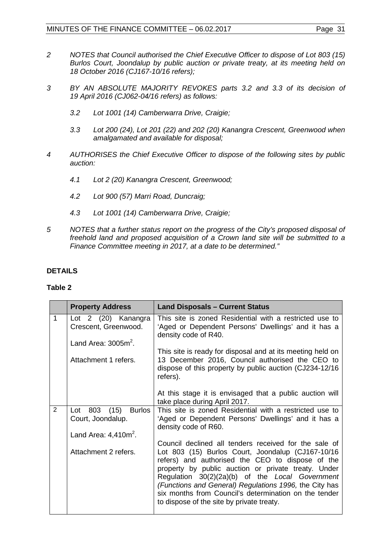- *2 NOTES that Council authorised the Chief Executive Officer to dispose of Lot 803 (15) Burlos Court, Joondalup by public auction or private treaty, at its meeting held on 18 October 2016 (CJ167-10/16 refers);*
- *3 BY AN ABSOLUTE MAJORITY REVOKES parts 3.2 and 3.3 of its decision of 19 April 2016 (CJ062-04/16 refers) as follows:* 
	- *3.2 Lot 1001 (14) Camberwarra Drive, Craigie;*
	- *3.3 Lot 200 (24), Lot 201 (22) and 202 (20) Kanangra Crescent, Greenwood when amalgamated and available for disposal;*
- *4 AUTHORISES the Chief Executive Officer to dispose of the following sites by public auction:* 
	- *4.1 Lot 2 (20) Kanangra Crescent, Greenwood;*
	- *4.2 Lot 900 (57) Marri Road, Duncraig;*
	- *4.3 Lot 1001 (14) Camberwarra Drive, Craigie;*
- *5 NOTES that a further status report on the progress of the City's proposed disposal of freehold land and proposed acquisition of a Crown land site will be submitted to a Finance Committee meeting in 2017, at a date to be determined."*

# **DETAILS**

# **Table 2**

|              | <b>Property Address</b>                                                       | <b>Land Disposals - Current Status</b>                                                                                                                                                                                                                                                                                                                                                                                                   |
|--------------|-------------------------------------------------------------------------------|------------------------------------------------------------------------------------------------------------------------------------------------------------------------------------------------------------------------------------------------------------------------------------------------------------------------------------------------------------------------------------------------------------------------------------------|
| $\mathbf{1}$ | Lot 2 (20) Kanangra<br>Crescent, Greenwood.<br>Land Area: $3005m^2$ .         | This site is zoned Residential with a restricted use to<br>'Aged or Dependent Persons' Dwellings' and it has a<br>density code of R40.                                                                                                                                                                                                                                                                                                   |
|              | Attachment 1 refers.                                                          | This site is ready for disposal and at its meeting held on<br>13 December 2016, Council authorised the CEO to<br>dispose of this property by public auction (CJ234-12/16)<br>refers).                                                                                                                                                                                                                                                    |
|              |                                                                               | At this stage it is envisaged that a public auction will<br>take place during April 2017.                                                                                                                                                                                                                                                                                                                                                |
| 2            | Lot 803 (15)<br><b>Burlos</b><br>Court, Joondalup.<br>Land Area: $4,410m^2$ . | This site is zoned Residential with a restricted use to<br>'Aged or Dependent Persons' Dwellings' and it has a<br>density code of R60.                                                                                                                                                                                                                                                                                                   |
|              | Attachment 2 refers.                                                          | Council declined all tenders received for the sale of<br>Lot 803 (15) Burlos Court, Joondalup (CJ167-10/16<br>refers) and authorised the CEO to dispose of the<br>property by public auction or private treaty. Under<br>Regulation 30(2)(2a)(b) of the Local Government<br>(Functions and General) Regulations 1996, the City has<br>six months from Council's determination on the tender<br>to dispose of the site by private treaty. |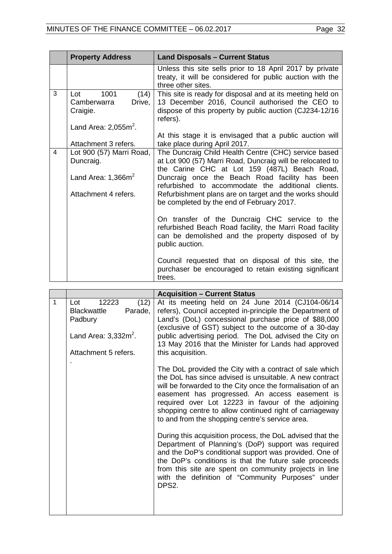|                         | <b>Property Address</b>                                  | <b>Land Disposals - Current Status</b>                                                                                                                                                |
|-------------------------|----------------------------------------------------------|---------------------------------------------------------------------------------------------------------------------------------------------------------------------------------------|
|                         |                                                          | Unless this site sells prior to 18 April 2017 by private<br>treaty, it will be considered for public auction with the<br>three other sites.                                           |
| 3                       | 1001<br>(14)<br>Lot<br>Camberwarra<br>Drive,<br>Craigie. | This site is ready for disposal and at its meeting held on<br>13 December 2016, Council authorised the CEO to<br>dispose of this property by public auction (CJ234-12/16)<br>refers). |
|                         | Land Area: $2,055m^2$ .                                  | At this stage it is envisaged that a public auction will                                                                                                                              |
|                         | Attachment 3 refers.                                     | take place during April 2017.                                                                                                                                                         |
| $\overline{\mathbf{4}}$ | Lot 900 (57) Marri Road,<br>Duncraig.                    | The Duncraig Child Health Centre (CHC) service based<br>at Lot 900 (57) Marri Road, Duncraig will be relocated to<br>the Carine CHC at Lot 159 (487L) Beach Road,                     |
|                         | Land Area: $1,366m^2$                                    | Duncraig once the Beach Road facility has been<br>refurbished to accommodate the additional clients.                                                                                  |
|                         | Attachment 4 refers.                                     | Refurbishment plans are on target and the works should<br>be completed by the end of February 2017.                                                                                   |
|                         |                                                          | On transfer of the Duncraig CHC service to the<br>refurbished Beach Road facility, the Marri Road facility<br>can be demolished and the property disposed of by<br>public auction.    |
|                         |                                                          | Council requested that on disposal of this site, the<br>purchaser be encouraged to retain existing significant<br>trees.                                                              |

|   |                                                                                                                     | <b>Acquisition - Current Status</b>                                                                                                                                                                                                                                                                                                                                                                    |
|---|---------------------------------------------------------------------------------------------------------------------|--------------------------------------------------------------------------------------------------------------------------------------------------------------------------------------------------------------------------------------------------------------------------------------------------------------------------------------------------------------------------------------------------------|
| 1 | 12223<br>(12)<br>Lot<br>Parade,<br><b>Blackwattle</b><br>Padbury<br>Land Area: $3,332m^2$ .<br>Attachment 5 refers. | At its meeting held on 24 June 2014 (CJ104-06/14<br>refers), Council accepted in-principle the Department of<br>Land's (DoL) concessional purchase price of \$88,000<br>(exclusive of GST) subject to the outcome of a 30-day<br>public advertising period. The DoL advised the City on<br>13 May 2016 that the Minister for Lands had approved<br>this acquisition.                                   |
|   |                                                                                                                     | The DoL provided the City with a contract of sale which<br>the DoL has since advised is unsuitable. A new contract<br>will be forwarded to the City once the formalisation of an<br>easement has progressed. An access easement is<br>required over Lot 12223 in favour of the adjoining<br>shopping centre to allow continued right of carriageway<br>to and from the shopping centre's service area. |
|   |                                                                                                                     | During this acquisition process, the DoL advised that the<br>Department of Planning's (DoP) support was required<br>and the DoP's conditional support was provided. One of<br>the DoP's conditions is that the future sale proceeds<br>from this site are spent on community projects in line<br>with the definition of "Community Purposes" under<br>DPS2.                                            |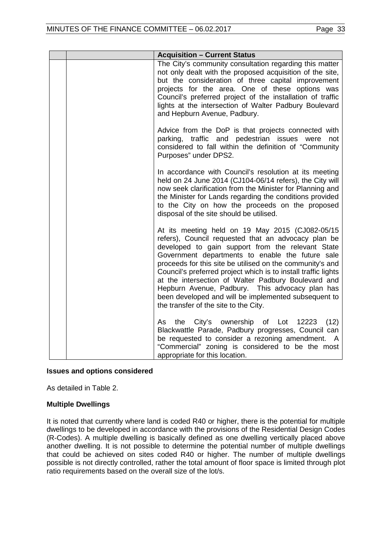| <b>Acquisition - Current Status</b>                                                                                                                                                                                                                                                                                                                                                                                                                                                                                                                       |
|-----------------------------------------------------------------------------------------------------------------------------------------------------------------------------------------------------------------------------------------------------------------------------------------------------------------------------------------------------------------------------------------------------------------------------------------------------------------------------------------------------------------------------------------------------------|
| The City's community consultation regarding this matter<br>not only dealt with the proposed acquisition of the site,<br>but the consideration of three capital improvement<br>projects for the area. One of these options was<br>Council's preferred project of the installation of traffic<br>lights at the intersection of Walter Padbury Boulevard<br>and Hepburn Avenue, Padbury.                                                                                                                                                                     |
| Advice from the DoP is that projects connected with<br>parking, traffic and pedestrian issues were not<br>considered to fall within the definition of "Community<br>Purposes" under DPS2.                                                                                                                                                                                                                                                                                                                                                                 |
| In accordance with Council's resolution at its meeting<br>held on 24 June 2014 (CJ104-06/14 refers), the City will<br>now seek clarification from the Minister for Planning and<br>the Minister for Lands regarding the conditions provided<br>to the City on how the proceeds on the proposed<br>disposal of the site should be utilised.                                                                                                                                                                                                                |
| At its meeting held on 19 May 2015 (CJ082-05/15<br>refers), Council requested that an advocacy plan be<br>developed to gain support from the relevant State<br>Government departments to enable the future sale<br>proceeds for this site be utilised on the community's and<br>Council's preferred project which is to install traffic lights<br>at the intersection of Walter Padbury Boulevard and<br>Hepburn Avenue, Padbury. This advocacy plan has<br>been developed and will be implemented subsequent to<br>the transfer of the site to the City. |
| the City's ownership of Lot 12223<br>(12)<br>As<br>Blackwattle Parade, Padbury progresses, Council can<br>be requested to consider a rezoning amendment.<br>$\mathsf{A}$<br>"Commercial" zoning is considered to be the most<br>appropriate for this location.                                                                                                                                                                                                                                                                                            |

# **Issues and options considered**

As detailed in Table 2.

# **Multiple Dwellings**

It is noted that currently where land is coded R40 or higher, there is the potential for multiple dwellings to be developed in accordance with the provisions of the Residential Design Codes (R-Codes). A multiple dwelling is basically defined as one dwelling vertically placed above another dwelling. It is not possible to determine the potential number of multiple dwellings that could be achieved on sites coded R40 or higher. The number of multiple dwellings possible is not directly controlled, rather the total amount of floor space is limited through plot ratio requirements based on the overall size of the lot/s.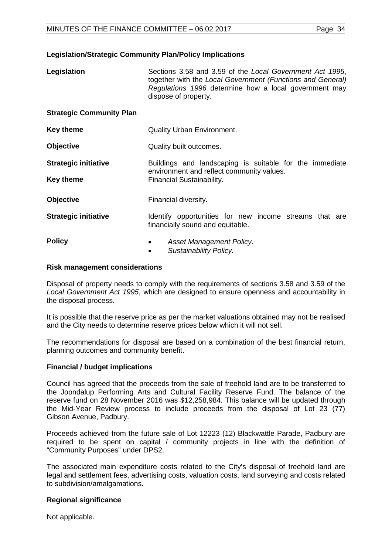#### **Legislation/Strategic Community Plan/Policy Implications**

| Legislation | Sections 3.58 and 3.59 of the Local Government Act 1995,   |
|-------------|------------------------------------------------------------|
|             | together with the Local Government (Functions and General) |
|             | Regulations 1996 determine how a local government may      |
|             | dispose of property.                                       |

#### **Strategic Community Plan**

| <b>Quality Urban Environment.</b> |
|-----------------------------------|
|                                   |

| <b>Objective</b> | Quality built outcomes. |
|------------------|-------------------------|
|------------------|-------------------------|

- **Strategic initiative** Buildings and landscaping is suitable for the immediate environment and reflect community values. **Key theme** Financial Sustainability.
- **Objective** Financial diversity.
- **Strategic initiative IDENTIFY opportunities for new income streams that are** financially sound and equitable.

- **Policy**  *Asset Management Policy.*
	- *Sustainability Policy.*

#### **Risk management considerations**

Disposal of property needs to comply with the requirements of sections 3.58 and 3.59 of the *Local Government Act 1995*, which are designed to ensure openness and accountability in the disposal process.

It is possible that the reserve price as per the market valuations obtained may not be realised and the City needs to determine reserve prices below which it will not sell.

The recommendations for disposal are based on a combination of the best financial return, planning outcomes and community benefit.

#### **Financial / budget implications**

Council has agreed that the proceeds from the sale of freehold land are to be transferred to the Joondalup Performing Arts and Cultural Facility Reserve Fund. The balance of the reserve fund on 28 November 2016 was \$12,258,984. This balance will be updated through the Mid-Year Review process to include proceeds from the disposal of Lot 23 (77) Gibson Avenue, Padbury.

Proceeds achieved from the future sale of Lot 12223 (12) Blackwattle Parade, Padbury are required to be spent on capital / community projects in line with the definition of "Community Purposes" under DPS2.

The associated main expenditure costs related to the City's disposal of freehold land are legal and settlement fees, advertising costs, valuation costs, land surveying and costs related to subdivision/amalgamations.

# **Regional significance**

Not applicable.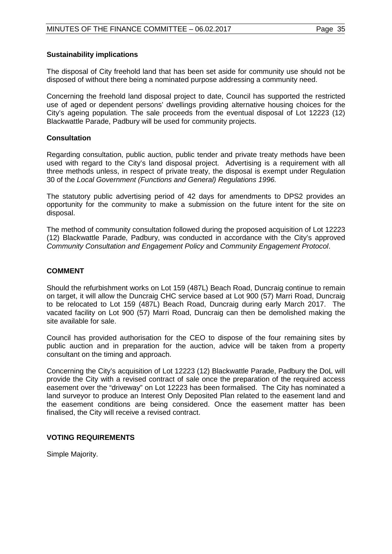#### **Sustainability implications**

The disposal of City freehold land that has been set aside for community use should not be disposed of without there being a nominated purpose addressing a community need.

Concerning the freehold land disposal project to date, Council has supported the restricted use of aged or dependent persons' dwellings providing alternative housing choices for the City's ageing population. The sale proceeds from the eventual disposal of Lot 12223 (12) Blackwattle Parade, Padbury will be used for community projects.

#### **Consultation**

Regarding consultation, public auction, public tender and private treaty methods have been used with regard to the City's land disposal project. Advertising is a requirement with all three methods unless, in respect of private treaty, the disposal is exempt under Regulation 30 of the *Local Government (Functions and General) Regulations 1996.*

The statutory public advertising period of 42 days for amendments to DPS2 provides an opportunity for the community to make a submission on the future intent for the site on disposal.

The method of community consultation followed during the proposed acquisition of Lot 12223 (12) Blackwattle Parade, Padbury, was conducted in accordance with the City's approved *Community Consultation and Engagement Policy* and *Community Engagement Protocol*.

# **COMMENT**

Should the refurbishment works on Lot 159 (487L) Beach Road, Duncraig continue to remain on target, it will allow the Duncraig CHC service based at Lot 900 (57) Marri Road, Duncraig to be relocated to Lot 159 (487L) Beach Road, Duncraig during early March 2017. The vacated facility on Lot 900 (57) Marri Road, Duncraig can then be demolished making the site available for sale.

Council has provided authorisation for the CEO to dispose of the four remaining sites by public auction and in preparation for the auction, advice will be taken from a property consultant on the timing and approach.

Concerning the City's acquisition of Lot 12223 (12) Blackwattle Parade, Padbury the DoL will provide the City with a revised contract of sale once the preparation of the required access easement over the "driveway" on Lot 12223 has been formalised. The City has nominated a land surveyor to produce an Interest Only Deposited Plan related to the easement land and the easement conditions are being considered. Once the easement matter has been finalised, the City will receive a revised contract.

# **VOTING REQUIREMENTS**

Simple Majority.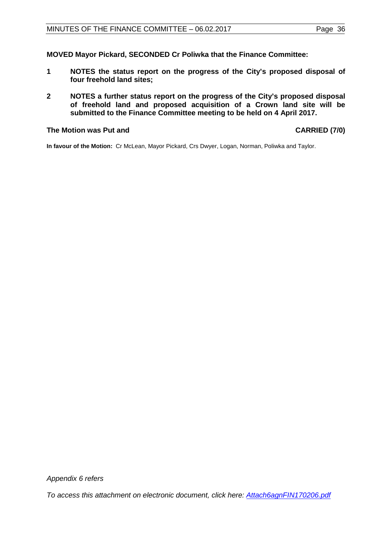**MOVED Mayor Pickard, SECONDED Cr Poliwka that the Finance Committee:**

- **1 NOTES the status report on the progress of the City's proposed disposal of four freehold land sites;**
- **2 NOTES a further status report on the progress of the City's proposed disposal of freehold land and proposed acquisition of a Crown land site will be submitted to the Finance Committee meeting to be held on 4 April 2017.**

#### **The Motion was Put and CARRIED (7/0)**

**In favour of the Motion:** Cr McLean, Mayor Pickard, Crs Dwyer, Logan, Norman, Poliwka and Taylor.

*Appendix 6 refers*

*[To access this attachment on electronic document, click here:](http://www.joondalup.wa.gov.au/files/committees/FINC/2017/Attach6agnFIN170206.pdf) Attach6agnFIN170206.pdf*